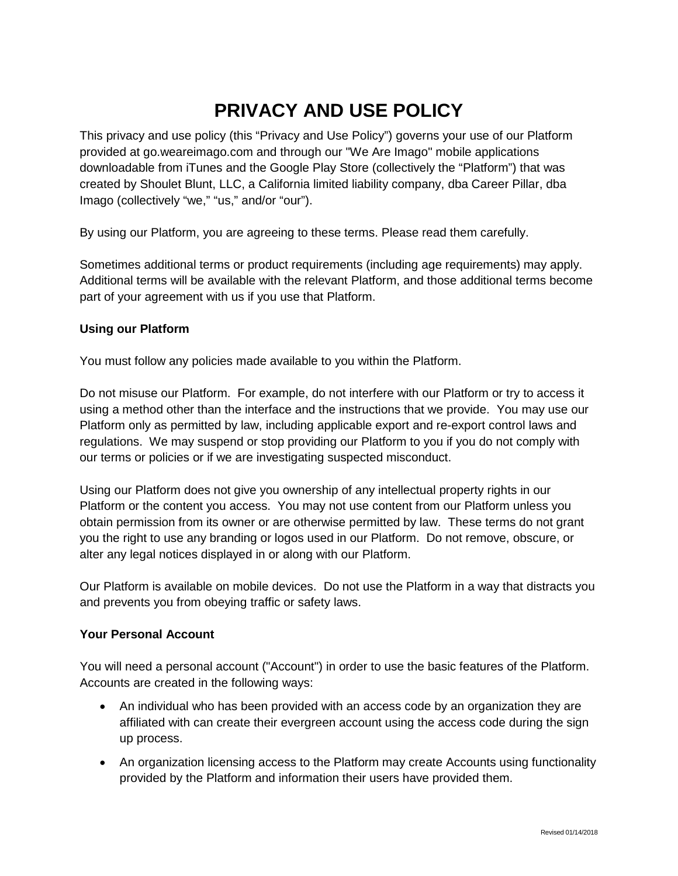# **PRIVACY AND USE POLICY**

This privacy and use policy (this "Privacy and Use Policy") governs your use of our Platform provided at go.weareimago.com and through our "We Are Imago" mobile applications downloadable from iTunes and the Google Play Store (collectively the "Platform") that was created by Shoulet Blunt, LLC, a California limited liability company, dba Career Pillar, dba Imago (collectively "we," "us," and/or "our").

By using our Platform, you are agreeing to these terms. Please read them carefully.

Sometimes additional terms or product requirements (including age requirements) may apply. Additional terms will be available with the relevant Platform, and those additional terms become part of your agreement with us if you use that Platform.

#### **Using our Platform**

You must follow any policies made available to you within the Platform.

Do not misuse our Platform. For example, do not interfere with our Platform or try to access it using a method other than the interface and the instructions that we provide. You may use our Platform only as permitted by law, including applicable export and re-export control laws and regulations. We may suspend or stop providing our Platform to you if you do not comply with our terms or policies or if we are investigating suspected misconduct.

Using our Platform does not give you ownership of any intellectual property rights in our Platform or the content you access. You may not use content from our Platform unless you obtain permission from its owner or are otherwise permitted by law. These terms do not grant you the right to use any branding or logos used in our Platform. Do not remove, obscure, or alter any legal notices displayed in or along with our Platform.

Our Platform is available on mobile devices. Do not use the Platform in a way that distracts you and prevents you from obeying traffic or safety laws.

#### **Your Personal Account**

You will need a personal account ("Account") in order to use the basic features of the Platform. Accounts are created in the following ways:

- An individual who has been provided with an access code by an organization they are affiliated with can create their evergreen account using the access code during the sign up process.
- An organization licensing access to the Platform may create Accounts using functionality provided by the Platform and information their users have provided them.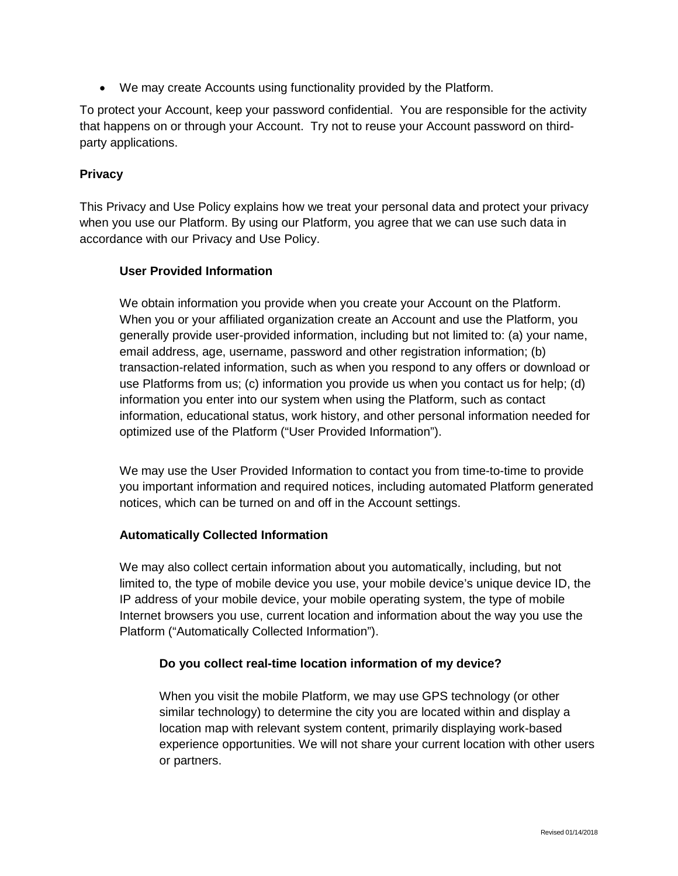• We may create Accounts using functionality provided by the Platform.

To protect your Account, keep your password confidential. You are responsible for the activity that happens on or through your Account. Try not to reuse your Account password on thirdparty applications.

## **Privacy**

This Privacy and Use Policy explains how we treat your personal data and protect your privacy when you use our Platform. By using our Platform, you agree that we can use such data in accordance with our Privacy and Use Policy.

## **User Provided Information**

We obtain information you provide when you create your Account on the Platform. When you or your affiliated organization create an Account and use the Platform, you generally provide user-provided information, including but not limited to: (a) your name, email address, age, username, password and other registration information; (b) transaction-related information, such as when you respond to any offers or download or use Platforms from us; (c) information you provide us when you contact us for help; (d) information you enter into our system when using the Platform, such as contact information, educational status, work history, and other personal information needed for optimized use of the Platform ("User Provided Information").

We may use the User Provided Information to contact you from time-to-time to provide you important information and required notices, including automated Platform generated notices, which can be turned on and off in the Account settings.

## **Automatically Collected Information**

We may also collect certain information about you automatically, including, but not limited to, the type of mobile device you use, your mobile device's unique device ID, the IP address of your mobile device, your mobile operating system, the type of mobile Internet browsers you use, current location and information about the way you use the Platform ("Automatically Collected Information").

## **Do you collect real-time location information of my device?**

When you visit the mobile Platform, we may use GPS technology (or other similar technology) to determine the city you are located within and display a location map with relevant system content, primarily displaying work-based experience opportunities. We will not share your current location with other users or partners.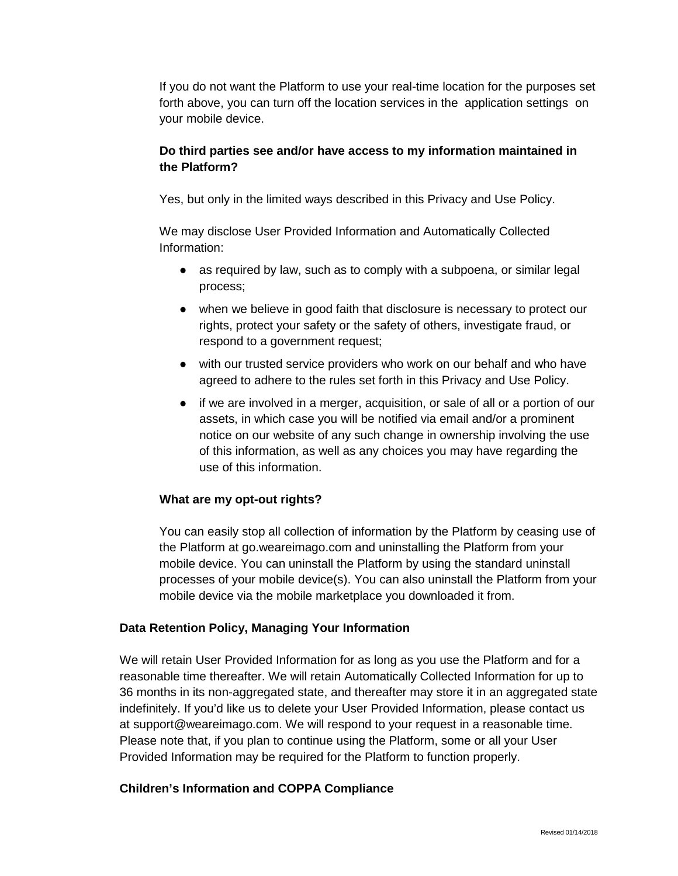If you do not want the Platform to use your real-time location for the purposes set forth above, you can turn off the location services in the application settings on your mobile device.

## **Do third parties see and/or have access to my information maintained in the Platform?**

Yes, but only in the limited ways described in this Privacy and Use Policy.

We may disclose User Provided Information and Automatically Collected Information:

- as required by law, such as to comply with a subpoena, or similar legal process;
- when we believe in good faith that disclosure is necessary to protect our rights, protect your safety or the safety of others, investigate fraud, or respond to a government request;
- with our trusted service providers who work on our behalf and who have agreed to adhere to the rules set forth in this Privacy and Use Policy.
- if we are involved in a merger, acquisition, or sale of all or a portion of our assets, in which case you will be notified via email and/or a prominent notice on our website of any such change in ownership involving the use of this information, as well as any choices you may have regarding the use of this information.

# **What are my opt-out rights?**

You can easily stop all collection of information by the Platform by ceasing use of the Platform at go.weareimago.com and uninstalling the Platform from your mobile device. You can uninstall the Platform by using the standard uninstall processes of your mobile device(s). You can also uninstall the Platform from your mobile device via the mobile marketplace you downloaded it from.

## **Data Retention Policy, Managing Your Information**

We will retain User Provided Information for as long as you use the Platform and for a reasonable time thereafter. We will retain Automatically Collected Information for up to 36 months in its non-aggregated state, and thereafter may store it in an aggregated state indefinitely. If you'd like us to delete your User Provided Information, please contact us at support@weareimago.com. We will respond to your request in a reasonable time. Please note that, if you plan to continue using the Platform, some or all your User Provided Information may be required for the Platform to function properly.

## **Children's Information and COPPA Compliance**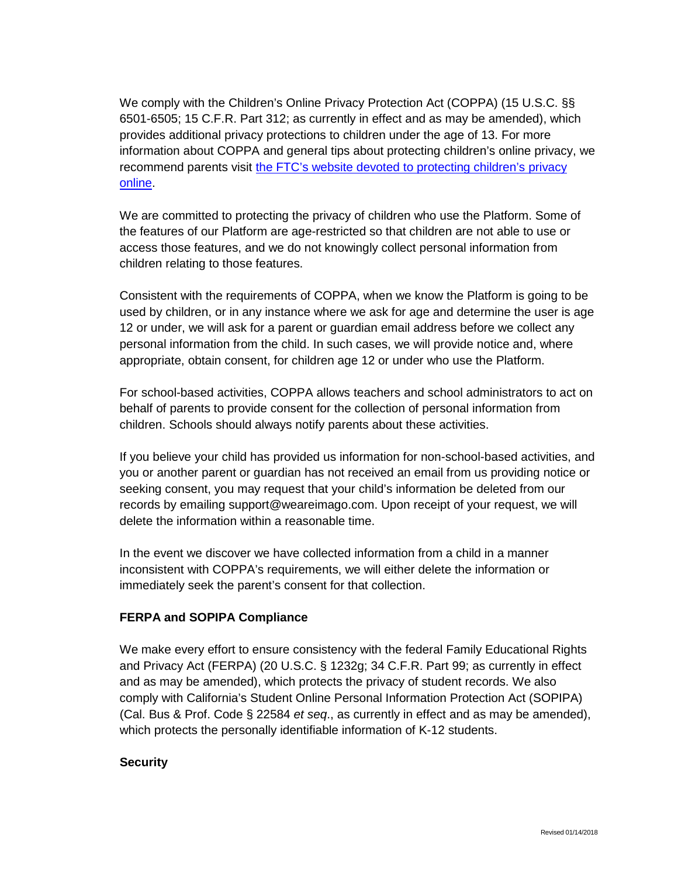We comply with the Children's Online Privacy Protection Act (COPPA) (15 U.S.C. §§ 6501-6505; 15 C.F.R. Part 312; as currently in effect and as may be amended), which provides additional privacy protections to children under the age of 13. For more information about COPPA and general tips about protecting children's online privacy, we recommend parents visit [the FTC's website devoted to protecting children's privacy](https://www.consumer.ftc.gov/articles/0031-protecting-your-childs-privacy-online)  [online.](https://www.consumer.ftc.gov/articles/0031-protecting-your-childs-privacy-online)

We are committed to protecting the privacy of children who use the Platform. Some of the features of our Platform are age-restricted so that children are not able to use or access those features, and we do not knowingly collect personal information from children relating to those features.

Consistent with the requirements of COPPA, when we know the Platform is going to be used by children, or in any instance where we ask for age and determine the user is age 12 or under, we will ask for a parent or guardian email address before we collect any personal information from the child. In such cases, we will provide notice and, where appropriate, obtain consent, for children age 12 or under who use the Platform.

For school-based activities, COPPA allows teachers and school administrators to act on behalf of parents to provide consent for the collection of personal information from children. Schools should always notify parents about these activities.

If you believe your child has provided us information for non-school-based activities, and you or another parent or guardian has not received an email from us providing notice or seeking consent, you may request that your child's information be deleted from our records by emailing support@weareimago.com. Upon receipt of your request, we will delete the information within a reasonable time.

In the event we discover we have collected information from a child in a manner inconsistent with COPPA's requirements, we will either delete the information or immediately seek the parent's consent for that collection.

## **FERPA and SOPIPA Compliance**

We make every effort to ensure consistency with the federal Family Educational Rights and Privacy Act (FERPA) (20 U.S.C. § 1232g; 34 C.F.R. Part 99; as currently in effect and as may be amended), which protects the privacy of student records. We also comply with California's Student Online Personal Information Protection Act (SOPIPA) (Cal. Bus & Prof. Code § 22584 *et seq*., as currently in effect and as may be amended), which protects the personally identifiable information of K-12 students.

## **Security**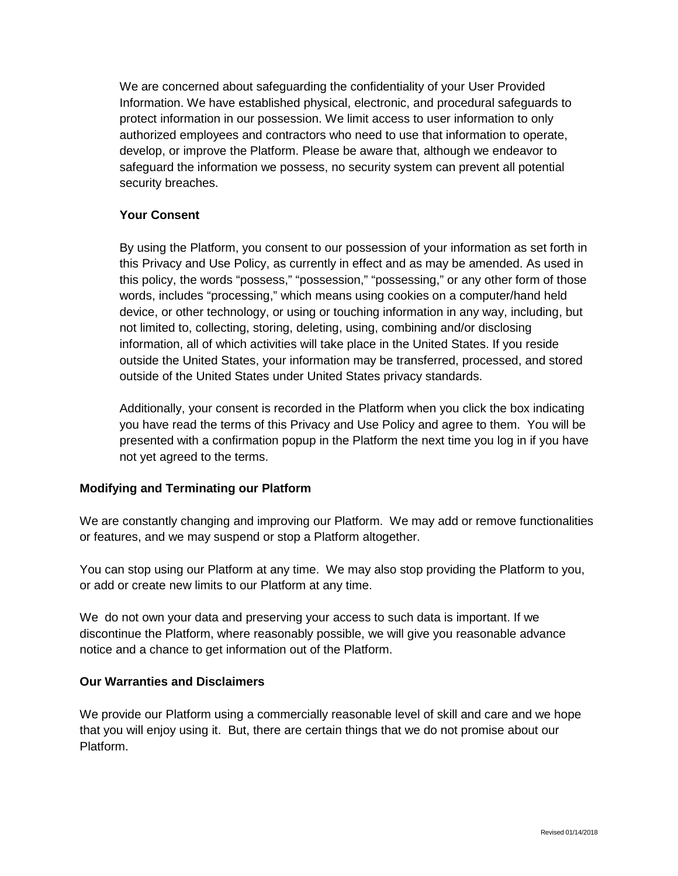We are concerned about safeguarding the confidentiality of your User Provided Information. We have established physical, electronic, and procedural safeguards to protect information in our possession. We limit access to user information to only authorized employees and contractors who need to use that information to operate, develop, or improve the Platform. Please be aware that, although we endeavor to safeguard the information we possess, no security system can prevent all potential security breaches.

## **Your Consent**

By using the Platform, you consent to our possession of your information as set forth in this Privacy and Use Policy, as currently in effect and as may be amended. As used in this policy, the words "possess," "possession," "possessing," or any other form of those words, includes "processing," which means using cookies on a computer/hand held device, or other technology, or using or touching information in any way, including, but not limited to, collecting, storing, deleting, using, combining and/or disclosing information, all of which activities will take place in the United States. If you reside outside the United States, your information may be transferred, processed, and stored outside of the United States under United States privacy standards.

Additionally, your consent is recorded in the Platform when you click the box indicating you have read the terms of this Privacy and Use Policy and agree to them. You will be presented with a confirmation popup in the Platform the next time you log in if you have not yet agreed to the terms.

## **Modifying and Terminating our Platform**

We are constantly changing and improving our Platform. We may add or remove functionalities or features, and we may suspend or stop a Platform altogether.

You can stop using our Platform at any time. We may also stop providing the Platform to you, or add or create new limits to our Platform at any time.

We do not own your data and preserving your access to such data is important. If we discontinue the Platform, where reasonably possible, we will give you reasonable advance notice and a chance to get information out of the Platform.

## **Our Warranties and Disclaimers**

We provide our Platform using a commercially reasonable level of skill and care and we hope that you will enjoy using it. But, there are certain things that we do not promise about our Platform.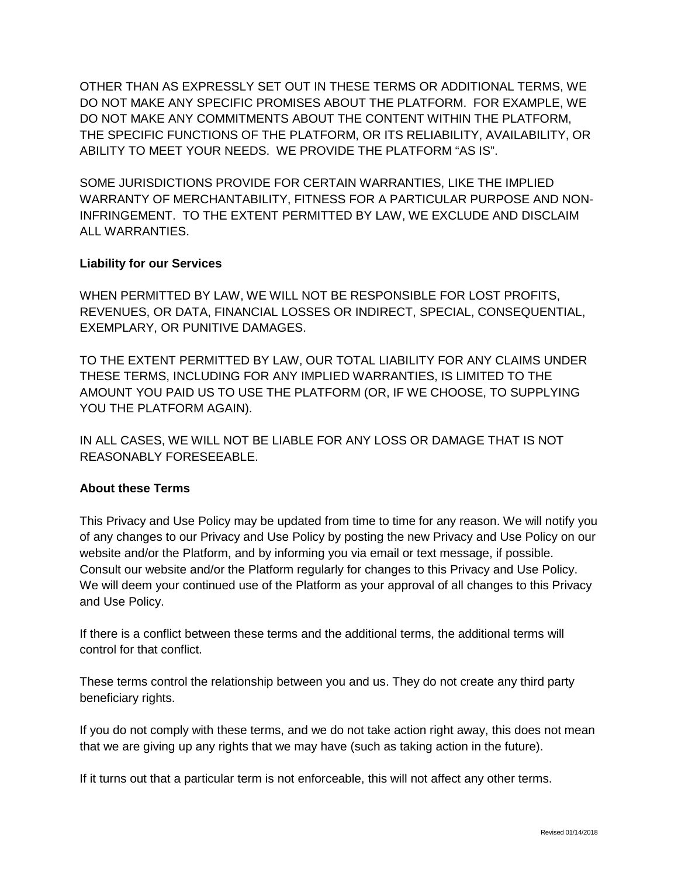OTHER THAN AS EXPRESSLY SET OUT IN THESE TERMS OR ADDITIONAL TERMS, WE DO NOT MAKE ANY SPECIFIC PROMISES ABOUT THE PLATFORM. FOR EXAMPLE, WE DO NOT MAKE ANY COMMITMENTS ABOUT THE CONTENT WITHIN THE PLATFORM, THE SPECIFIC FUNCTIONS OF THE PLATFORM, OR ITS RELIABILITY, AVAILABILITY, OR ABILITY TO MEET YOUR NEEDS. WE PROVIDE THE PLATFORM "AS IS".

SOME JURISDICTIONS PROVIDE FOR CERTAIN WARRANTIES, LIKE THE IMPLIED WARRANTY OF MERCHANTABILITY, FITNESS FOR A PARTICULAR PURPOSE AND NON-INFRINGEMENT. TO THE EXTENT PERMITTED BY LAW, WE EXCLUDE AND DISCLAIM ALL WARRANTIES.

## **Liability for our Services**

WHEN PERMITTED BY LAW, WE WILL NOT BE RESPONSIBLE FOR LOST PROFITS, REVENUES, OR DATA, FINANCIAL LOSSES OR INDIRECT, SPECIAL, CONSEQUENTIAL, EXEMPLARY, OR PUNITIVE DAMAGES.

TO THE EXTENT PERMITTED BY LAW, OUR TOTAL LIABILITY FOR ANY CLAIMS UNDER THESE TERMS, INCLUDING FOR ANY IMPLIED WARRANTIES, IS LIMITED TO THE AMOUNT YOU PAID US TO USE THE PLATFORM (OR, IF WE CHOOSE, TO SUPPLYING YOU THE PLATFORM AGAIN).

IN ALL CASES, WE WILL NOT BE LIABLE FOR ANY LOSS OR DAMAGE THAT IS NOT REASONABLY FORESEEABLE.

## **About these Terms**

This Privacy and Use Policy may be updated from time to time for any reason. We will notify you of any changes to our Privacy and Use Policy by posting the new Privacy and Use Policy on our website and/or the Platform, and by informing you via email or text message, if possible. Consult our website and/or the Platform regularly for changes to this Privacy and Use Policy. We will deem your continued use of the Platform as your approval of all changes to this Privacy and Use Policy.

If there is a conflict between these terms and the additional terms, the additional terms will control for that conflict.

These terms control the relationship between you and us. They do not create any third party beneficiary rights.

If you do not comply with these terms, and we do not take action right away, this does not mean that we are giving up any rights that we may have (such as taking action in the future).

If it turns out that a particular term is not enforceable, this will not affect any other terms.